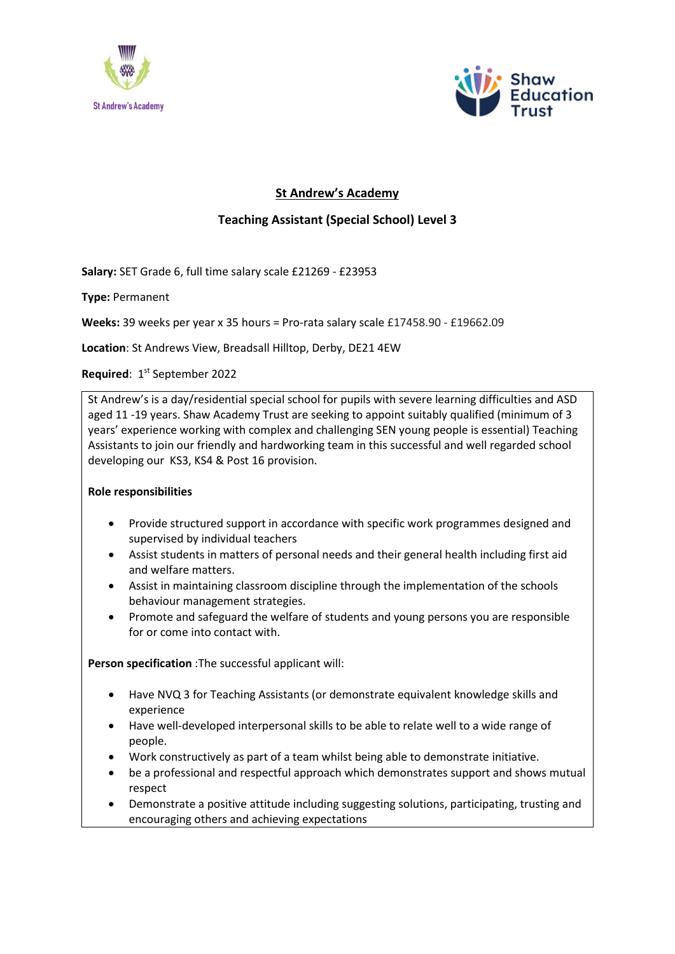



## **St Andrew's Academy**

## **Teaching Assistant (Special School) Level 3**

**Salary:** SET Grade 6, full time salary scale £21269 - £23953

**Type:** Permanent

**Weeks:** 39 weeks per year x 35 hours = Pro-rata salary scale £17458.90 - £19662.09

**Location**: St Andrews View, Breadsall Hilltop, Derby, DE21 4EW

Required: 1<sup>st</sup> September 2022

St Andrew's is a day/residential special school for pupils with severe learning difficulties and ASD aged 11 -19 years. Shaw Academy Trust are seeking to appoint suitably qualified (minimum of 3 years' experience working with complex and challenging SEN young people is essential) Teaching Assistants to join our friendly and hardworking team in this successful and well regarded school developing our KS3, KS4 & Post 16 provision.

## **Role responsibilities**

- Provide structured support in accordance with specific work programmes designed and supervised by individual teachers
- Assist students in matters of personal needs and their general health including first aid and welfare matters.
- Assist in maintaining classroom discipline through the implementation of the schools behaviour management strategies.
- Promote and safeguard the welfare of students and young persons you are responsible for or come into contact with.

**Person specification** :The successful applicant will:

- Have NVQ 3 for Teaching Assistants (or demonstrate equivalent knowledge skills and experience
- Have well-developed interpersonal skills to be able to relate well to a wide range of people.
- Work constructively as part of a team whilst being able to demonstrate initiative.
- be a professional and respectful approach which demonstrates support and shows mutual respect
- Demonstrate a positive attitude including suggesting solutions, participating, trusting and encouraging others and achieving expectations